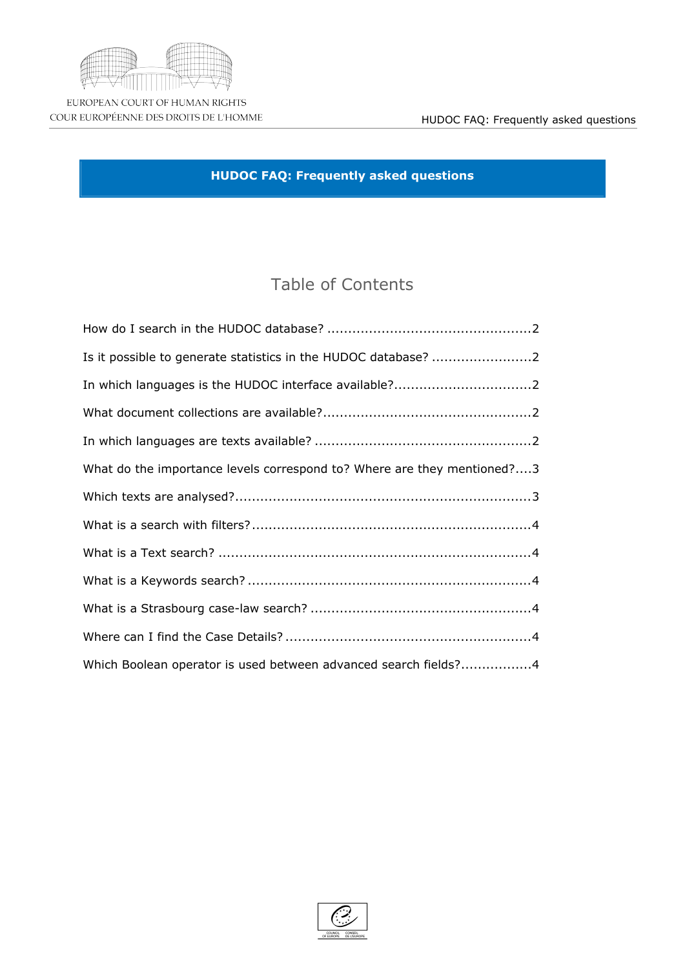### $\sqrt[6]{\frac{1}{2}}$  $\#$  $$S$  $\boldsymbol{\alpha}$  $\%$  $\begin{array}{c} \begin{array}{c} \hline \end{array} \end{array} \begin{array}{c} \begin{array}{c} \hline \end{array} \end{array} \end{array} \begin{array}{c} \begin{array}{c} \hline \end{array} \end{array} \begin{array}{c} \begin{array}{c} \hline \end{array} \end{array} \begin{array}{c} \begin{array}{c} \hline \end{array} \end{array} \begin{array}{c} \begin{array}{c} \hline \end{array} \end{array} \begin{array}{c} \begin{array}{c} \hline \end{array} \end{array} \end{array} \begin{array}{c} \begin{array}{c} \hline \end{array$  $\%$  $$S$  $\left($  $(1, 1)$  $^{\prime}$  #  $\%$  $#$   $\&$  $\boldsymbol{\mathsf{R}}$  $\boldsymbol{\alpha}$  $\overline{(\ }$  $\boldsymbol{\alpha}$  $\pmb{8}$  $\begin{minipage}{. \begin{minipage}{.4cm} \begin{itemize} \end{itemize} \end{minipage} \begin{minipage}{. \begin{minipage}{.4cm} \begin{itemize} \end{itemize} \end{minipage} \end{minipage} \begin{minipage}{. \begin{minipage}{. \begin{itemize} \end{itemize} \end{minipage}} \end{minipage} \begin{minipage}{. \begin{minipage}{. \begin{itemize} \end{itemize} \end{minipage}} \end{minipage} \begin{minipage}{. \begin{itemize} \end{itemize} \end{minipage}} \begin{minipage}{. \begin{itemize} \end{itemize} \end{minipage$  $\sqrt{2}$  $\boldsymbol{\alpha}$  $+$  $\&$  $\boldsymbol{\alpha}$  $\frac{9}{6}$  $\mathbf{g}$  $#$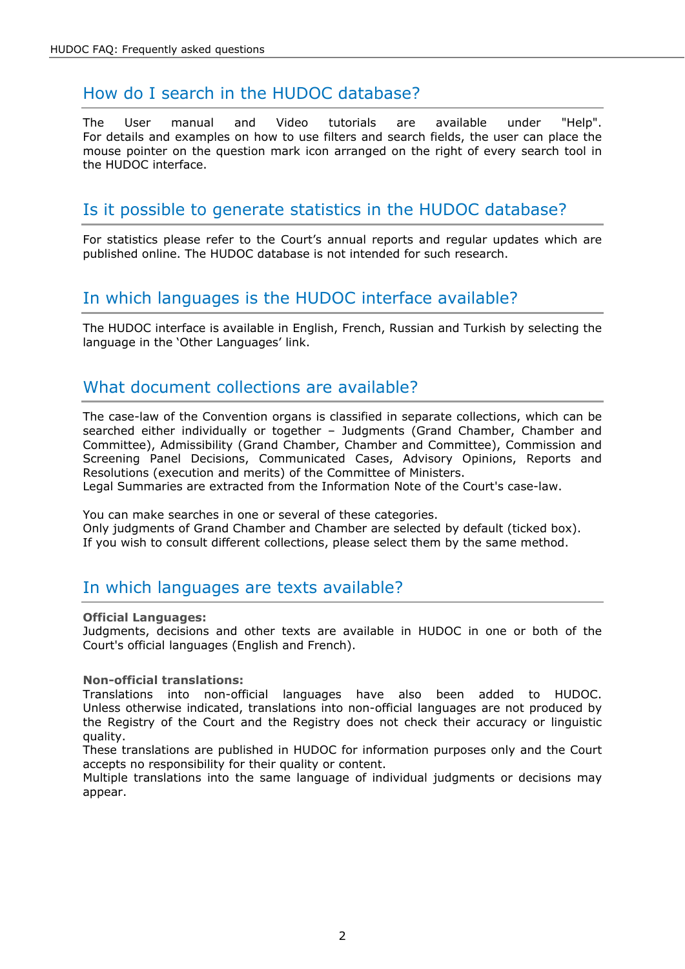# <span id="page-1-0"></span>How do I search in the HUDOC database?

The User manual and Video tutorials are available under "Help". For details and examples on how to use filters and search fields, the user can place the mouse pointer on the question mark icon arranged on the right of every search tool in the HUDOC interface.

## <span id="page-1-1"></span>Is it possible to generate statistics in the HUDOC database?

For statistics please refer to the Court's annual reports and regular updates which are published online. The HUDOC database is not intended for such research.

## <span id="page-1-2"></span>In which languages is the HUDOC interface available?

The HUDOC interface is available in English, French, Russian and Turkish by selecting the language in the 'Other Languages' link.

### <span id="page-1-3"></span>What document collections are available?

The case-law of the Convention organs is classified in separate collections, which can be searched either individually or together – Judgments (Grand Chamber, Chamber and Committee), Admissibility (Grand Chamber, Chamber and Committee), Commission and Screening Panel Decisions, Communicated Cases, Advisory Opinions, Reports and Resolutions (execution and merits) of the Committee of Ministers.

Legal Summaries are extracted from the Information Note of the Court's case-law.

You can make searches in one or several of these categories. Only judgments of Grand Chamber and Chamber are selected by default (ticked box). If you wish to consult different collections, please select them by the same method.

### <span id="page-1-4"></span>In which languages are texts available?

### **Official Languages:**

Judgments, decisions and other texts are available in HUDOC in one or both of the Court's official languages (English and French).

### **Non-official translations:**

Translations into non-official languages have also been added to HUDOC. Unless otherwise indicated, translations into non-official languages are not produced by the Registry of the Court and the Registry does not check their accuracy or linguistic quality.

These translations are published in HUDOC for information purposes only and the Court accepts no responsibility for their quality or content.

Multiple translations into the same language of individual judgments or decisions may appear.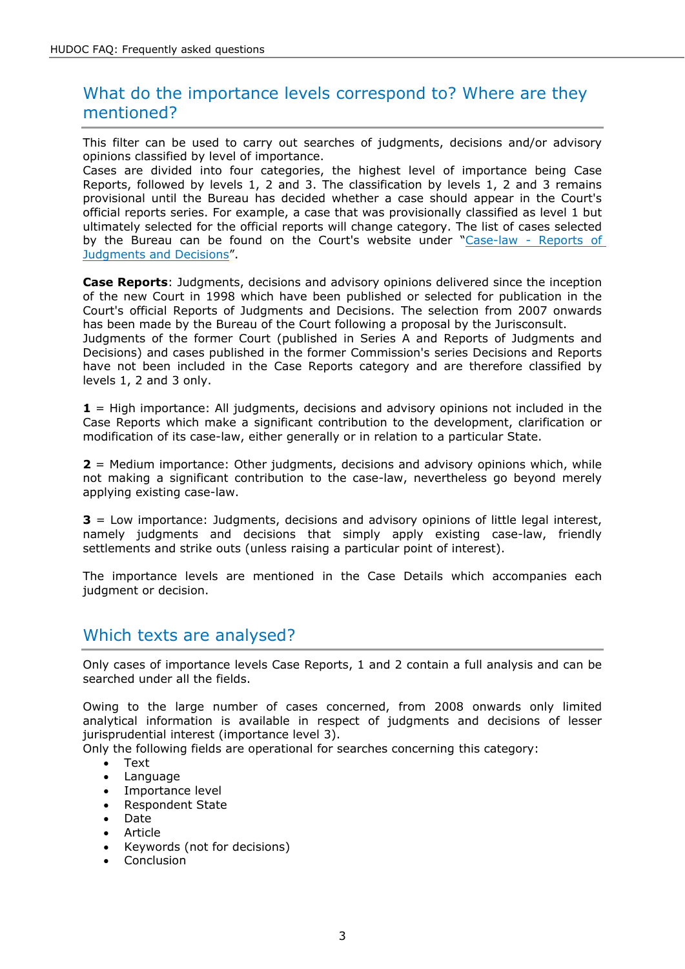| a ka                                                   |                                                                                                              |                                      |                          |                                       |                                                                                                   |                       |              | $\overline{A}$   |               | $\frac{1}{2}$ 1                                   |                   |       |                     |                                                                                           | B <sub>a</sub>       | $\%$                                         |                |
|--------------------------------------------------------|--------------------------------------------------------------------------------------------------------------|--------------------------------------|--------------------------|---------------------------------------|---------------------------------------------------------------------------------------------------|-----------------------|--------------|------------------|---------------|---------------------------------------------------|-------------------|-------|---------------------|-------------------------------------------------------------------------------------------|----------------------|----------------------------------------------|----------------|
| #<br>$4$ #<br>$\#$<br>$\%$                             | $\%$<br>$\mathbf{1}$                                                                                         |                                      | $\%$<br>$C1$ "           |                                       | $\%$ $\qquad$ $'$ # $\qquad$<br>$\sqrt[3]{}$ 1<br>$\left( \begin{array}{c} \end{array} \right)$ ! |                       |              | Ţ.               |               | $\frac{6}{5}$ %                                   |                   | $'$ # | % C 1"<br>$\#$ $\#$ |                                                                                           | $\overline{)}$       | \$<br>$\sim 10^{-1}$                         | $\overline{?}$ |
| $\mathbf{I}$<br>$S^+$<br>8                             | $\#$                                                                                                         | Ţ                                    | E!                       | ( '# )                                | 1 <sup>1</sup><br>$\#$                                                                            |                       | $\tilde{?}$  | \$               | #             | $\%$<br>$\,$                                      | Ţ                 | D     |                     |                                                                                           | $\overline{4}$       | % C<br>#                                     |                |
| $\overline{?}$                                         | 8<br>$4$ #<br>$\mathbf{I}$                                                                                   | $\frac{1}{2}$ 1<br><b>CFFG</b>       | $\overline{\mathbf{8}}$  | $$^{\prime}$                          | $\%$                                                                                              |                       | $\%$<br>$\#$ |                  | #             | $\begin{array}{c} 1 \\ \text{S} \end{array}$<br># |                   | $\%$  | #                   | $\blacksquare$ $\blacksquare$ $\blacksquare$ $\blacksquare$ $\blacksquare$ $\blacksquare$ |                      | $\#$<br>$\begin{matrix} 8 \\ 1 \end{matrix}$ |                |
| $\mathsf{S}^+$<br>8<br>$\sim$ $\sim$<br>$\%$<br>% C 1" |                                                                                                              | $\mathbf{L}$<br>$\#$<br>$\mathbf{I}$ |                          |                                       | 9#                                                                                                | $\mathbf{L}$<br>$4$ # |              | $\frac{1}{2}$    | $\mathsf{\$}$ | $\overline{\phantom{a}}$                          |                   | $4$ # |                     | $\bf8$                                                                                    | $\mathfrak{S}^+$     | $4$ #                                        |                |
| $! J$ \$ $'#$<br>$4$ #<br>$\mathbf{r} = \mathbf{r}$    |                                                                                                              | $\mathbf{r}$                         | A                        | $\mathcal{S}$ '<br>\$<br>$\mathbf{1}$ | $\overline{1}$<br>$\mathbb{S}$                                                                    |                       |              |                  |               | $\%$                                              | #<br>$\%$<br>$\#$ |       | $\#$ '              | $\mathbf{1}$<br>$\overline{\phantom{a}}$                                                  |                      | Ţ                                            |                |
| " $J =$<br>$\sim 100$<br>##                            | $\mathbf{a}$ $\mathbf{b}$ $\mathbf{c}$ $\mathbf{r}$ $\mathbf{r}$<br>\$<br>$\mathfrak{S}$<br>$\updownarrow$ ( | $\boldsymbol{\mathsf{S}}$            | $\overline{\phantom{a}}$ | A<br>Ţ                                | $\mathbb{S}$ '                                                                                    | $\mathbf 1$           |              |                  |               | $\%$<br>$\mathbf{1}$                              | $\%$              |       | #<br>\$             |                                                                                           |                      | 1                                            |                |
| # J 6 '#<br>$\mathbf{L}_{\mathrm{c}}$<br>$\mathbf{r}$  | A \$'                                                                                                        | $8\phantom{1}$                       | $\frac{1}{2}$            | $\mathbf{1}$<br>9                     |                                                                                                   | \$                    |              | $^\prime$ #<br># |               | $\%$<br>$##$ (                                    | #<br>#            |       | \$<br>$\cdot$ !     |                                                                                           | \$<br>$\overline{1}$ |                                              | $\mathbf{1}$   |
| $^\prime$ #<br>$\mathsf{\$}'$<br>A                     |                                                                                                              | $\%$<br>$\blacksquare$               |                          | $\mathbf{r}$                          |                                                                                                   |                       |              |                  |               |                                                   |                   |       |                     | $'$ #                                                                                     |                      |                                              |                |

#### <span id="page-2-0"></span> $\frac{1}{4}$  $\boldsymbol{\alpha}$  $\frac{1}{2}$  $\alpha$  $\#$

### <span id="page-2-1"></span> $\frac{8}{1}$  $\overline{\mathcal{L}}$

|   |                                     | $^{\prime}$ #                    | $\%$               | $4$ #<br>C    | $\pmb{\mathsf{H}}$                                |     |
|---|-------------------------------------|----------------------------------|--------------------|---------------|---------------------------------------------------|-----|
| A | \$<br>$\#$                          | $\overline{\phantom{a}}$<br>\$   | $\%$<br>9<br>$'$ # | $\#$<br>); !% | "HHG<br>л.<br>1<br>$\mathfrak{S}$<br>$\mathsf{A}$ |     |
|   | $6\phantom{.}$<br>\$<br>$^\prime$ # | \$<br>$\boldsymbol{\mathsf{S}}$  | $\#$               |               |                                                   | \$5 |
|   | #<br>$\overline{4}$                 | $\%$<br>$\overline{\phantom{a}}$ |                    |               |                                                   |     |
|   | $\ddot{}$                           | 9                                | ٠<br>×,            |               |                                                   |     |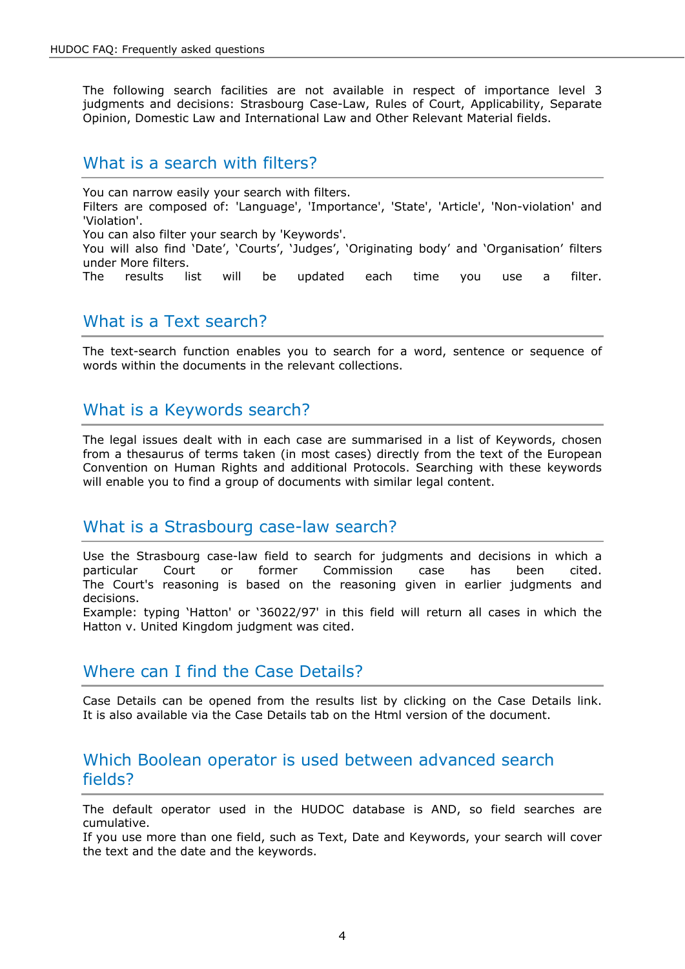The following search facilities are not available in respect of importance level 3 judgments and decisions: Strasbourg Case-Law, Rules of Court, Applicability, Separate Opinion, Domestic Law and International Law and Other Relevant Material fields.

### <span id="page-3-0"></span>What is a search with filters?

You can narrow easily your search with filters. Filters are composed of: 'Language', 'Importance', 'State', 'Article', 'Non-violation' and 'Violation'. You can also filter your search by 'Keywords'. You will also find 'Date', 'Courts', 'Judges', 'Originating body' and 'Organisation' filters under More filters. The results list will be updated each time you use a filter.

### <span id="page-3-1"></span>What is a Text search?

The text-search function enables you to search for a word, sentence or sequence of words within the documents in the relevant collections.

## <span id="page-3-2"></span>What is a Keywords search?

The legal issues dealt with in each case are summarised in a list of Keywords, chosen from a thesaurus of terms taken (in most cases) directly from the text of the European Convention on Human Rights and additional Protocols. Searching with these keywords will enable you to find a group of documents with similar legal content.

### <span id="page-3-3"></span>What is a Strasbourg case-law search?

Use the Strasbourg case-law field to search for judgments and decisions in which a particular Court or former Commission case has been cited. The Court's reasoning is based on the reasoning given in earlier judgments and decisions.

Example: typing 'Hatton' or '36022/97' in this field will return all cases in which the Hatton v. United Kingdom judgment was cited.

### <span id="page-3-4"></span>Where can I find the Case Details?

Case Details can be opened from the results list by clicking on the Case Details link. It is also available via the Case Details tab on the Html version of the document.

### <span id="page-3-5"></span>Which Boolean operator is used between advanced search fields?

The default operator used in the HUDOC database is AND, so field searches are cumulative.

If you use more than one field, such as Text, Date and Keywords, your search will cover the text and the date and the keywords.